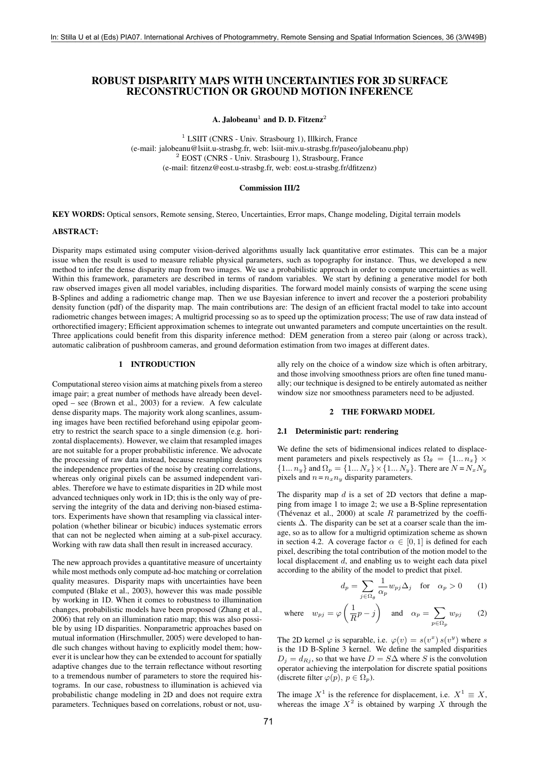# ROBUST DISPARITY MAPS WITH UNCERTAINTIES FOR 3D SURFACE RECONSTRUCTION OR GROUND MOTION INFERENCE

A. Jalobeanu $^1$  and D. D. Fitzenz $^2$ 

<sup>1</sup> LSIIT (CNRS - Univ. Strasbourg 1), Illkirch, France (e-mail: jalobeanu@lsiit.u-strasbg.fr, web: lsiit-miv.u-strasbg.fr/paseo/jalobeanu.php) <sup>2</sup> EOST (CNRS - Univ. Strasbourg 1), Strasbourg, France (e-mail: fitzenz@eost.u-strasbg.fr, web: eost.u-strasbg.fr/dfitzenz)

### Commission III/2

KEY WORDS: Optical sensors, Remote sensing, Stereo, Uncertainties, Error maps, Change modeling, Digital terrain models

# ABSTRACT:

Disparity maps estimated using computer vision-derived algorithms usually lack quantitative error estimates. This can be a major issue when the result is used to measure reliable physical parameters, such as topography for instance. Thus, we developed a new method to infer the dense disparity map from two images. We use a probabilistic approach in order to compute uncertainties as well. Within this framework, parameters are described in terms of random variables. We start by defining a generative model for both raw observed images given all model variables, including disparities. The forward model mainly consists of warping the scene using B-Splines and adding a radiometric change map. Then we use Bayesian inference to invert and recover the a posteriori probability density function (pdf) of the disparity map. The main contributions are: The design of an efficient fractal model to take into account radiometric changes between images; A multigrid processing so as to speed up the optimization process; The use of raw data instead of orthorectified imagery; Efficient approximation schemes to integrate out unwanted parameters and compute uncertainties on the result. Three applications could benefit from this disparity inference method: DEM generation from a stereo pair (along or across track), automatic calibration of pushbroom cameras, and ground deformation estimation from two images at different dates.

# 1 INTRODUCTION

Computational stereo vision aims at matching pixels from a stereo image pair; a great number of methods have already been developed – see (Brown et al., 2003) for a review. A few calculate dense disparity maps. The majority work along scanlines, assuming images have been rectified beforehand using epipolar geometry to restrict the search space to a single dimension (e.g. horizontal displacements). However, we claim that resampled images are not suitable for a proper probabilistic inference. We advocate the processing of raw data instead, because resampling destroys the independence properties of the noise by creating correlations, whereas only original pixels can be assumed independent variables. Therefore we have to estimate disparities in 2D while most advanced techniques only work in 1D; this is the only way of preserving the integrity of the data and deriving non-biased estimators. Experiments have shown that resampling via classical interpolation (whether bilinear or bicubic) induces systematic errors that can not be neglected when aiming at a sub-pixel accuracy. Working with raw data shall then result in increased accuracy.

The new approach provides a quantitative measure of uncertainty while most methods only compute ad-hoc matching or correlation quality measures. Disparity maps with uncertainties have been computed (Blake et al., 2003), however this was made possible by working in 1D. When it comes to robustness to illumination changes, probabilistic models have been proposed (Zhang et al., 2006) that rely on an illumination ratio map; this was also possible by using 1D disparities. Nonparametric approaches based on mutual information (Hirschmuller, 2005) were developed to handle such changes without having to explicitly model them; however it is unclear how they can be extended to account for spatially adaptive changes due to the terrain reflectance without resorting to a tremendous number of parameters to store the required histograms. In our case, robustness to illumination is achieved via probabilistic change modeling in 2D and does not require extra parameters. Techniques based on correlations, robust or not, usually rely on the choice of a window size which is often arbitrary, and those involving smoothness priors are often fine tuned manually; our technique is designed to be entirely automated as neither window size nor smoothness parameters need to be adjusted.

### 2 THE FORWARD MODEL

## 2.1 Deterministic part: rendering

We define the sets of bidimensional indices related to displacement parameters and pixels respectively as  $\Omega_{\theta} = \{1... n_x\} \times$  ${1... n_y}$  and  $\Omega_p = {1... N_x} \times {1... N_y}$ . There are  $N = N_x N_y$ pixels and  $n = n_x n_y$  disparity parameters.

The disparity map  $d$  is a set of 2D vectors that define a mapping from image 1 to image 2; we use a B-Spline representation (Thévenaz et al., 2000) at scale  $R$  parametrized by the coefficients  $\Delta$ . The disparity can be set at a coarser scale than the image, so as to allow for a multigrid optimization scheme as shown in section 4.2. A coverage factor  $\alpha \in [0, 1]$  is defined for each pixel, describing the total contribution of the motion model to the local displacement d, and enabling us to weight each data pixel according to the ability of the model to predict that pixel.

$$
d_p = \sum_{j \in \Omega_{\theta}} \frac{1}{\alpha_p} w_{pj} \Delta_j \quad \text{for} \quad \alpha_p > 0 \qquad (1)
$$

where 
$$
w_{pj} = \varphi \left( \frac{1}{R} p - j \right)
$$
 and  $\alpha_p = \sum_{p \in \Omega_p} w_{pj}$  (2)

The 2D kernel  $\varphi$  is separable, i.e.  $\varphi(v) = s(v^x) s(v^y)$  where s is the 1D B-Spline 3 kernel. We define the sampled disparities  $D_i = d_{R_i}$ , so that we have  $D = S\Delta$  where S is the convolution operator achieving the interpolation for discrete spatial positions (discrete filter  $\varphi(p), p \in \Omega_p$ ).

The image  $X^1$  is the reference for displacement, i.e.  $X^1 \equiv X$ , whereas the image  $X^2$  is obtained by warping X through the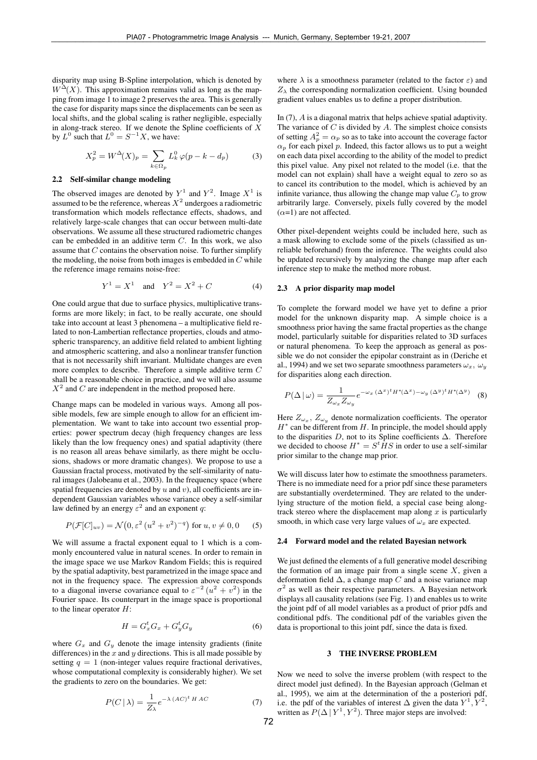disparity map using B-Spline interpolation, which is denoted by  $W^{\Delta}(X)$ . This approximation remains valid as long as the mapping from image 1 to image 2 preserves the area. This is generally the case for disparity maps since the displacements can be seen as local shifts, and the global scaling is rather negligible, especially in along-track stereo. If we denote the Spline coefficients of  $\overline{X}$ by  $L^0$  such that  $L^0 = S^{-1}X$ , we have:

$$
X_p^2 = W^{\Delta}(X)_p = \sum_{k \in \Omega_p} L_k^0 \varphi(p - k - d_p)
$$
 (3)

## 2.2 Self-similar change modeling

The observed images are denoted by  $Y^1$  and  $Y^2$ . Image  $X^1$  is assumed to be the reference, whereas  $X^2$  undergoes a radiometric transformation which models reflectance effects, shadows, and relatively large-scale changes that can occur between multi-date observations. We assume all these structured radiometric changes can be embedded in an additive term C. In this work, we also assume that  $C$  contains the observation noise. To further simplify the modeling, the noise from both images is embedded in  $C$  while the reference image remains noise-free:

$$
Y^1 = X^1 \text{ and } Y^2 = X^2 + C \tag{4}
$$

One could argue that due to surface physics, multiplicative transforms are more likely; in fact, to be really accurate, one should take into account at least 3 phenomena – a multiplicative field related to non-Lambertian reflectance properties, clouds and atmospheric transparency, an additive field related to ambient lighting and atmospheric scattering, and also a nonlinear transfer function that is not necessarily shift invariant. Multidate changes are even more complex to describe. Therefore a simple additive term C shall be a reasonable choice in practice, and we will also assume  $X<sup>2</sup>$  and C are independent in the method proposed here.

Change maps can be modeled in various ways. Among all possible models, few are simple enough to allow for an efficient implementation. We want to take into account two essential properties: power spectrum decay (high frequency changes are less likely than the low frequency ones) and spatial adaptivity (there is no reason all areas behave similarly, as there might be occlusions, shadows or more dramatic changes). We propose to use a Gaussian fractal process, motivated by the self-similarity of natural images (Jalobeanu et al., 2003). In the frequency space (where spatial frequencies are denoted by  $u$  and  $v$ ), all coefficients are independent Gaussian variables whose variance obey a self-similar law defined by an energy  $\varepsilon^2$  and an exponent q:

$$
P(\mathcal{F}[C]_{uv}) = \mathcal{N}(0, \varepsilon^2 (u^2 + v^2)^{-q}) \text{ for } u, v \neq 0, 0 \quad (5)
$$

We will assume a fractal exponent equal to 1 which is a commonly encountered value in natural scenes. In order to remain in the image space we use Markov Random Fields; this is required by the spatial adaptivity, best parametrized in the image space and not in the frequency space. The expression above corresponds to a diagonal inverse covariance equal to  $\varepsilon^{-2}$   $(u^2 + v^2)$  in the Fourier space. Its counterpart in the image space is proportional to the linear operator  $H$ :

$$
H = G_x^t G_x + G_y^t G_y \tag{6}
$$

where  $G_x$  and  $G_y$  denote the image intensity gradients (finite differences) in the  $x$  and  $y$  directions. This is all made possible by setting  $q = 1$  (non-integer values require fractional derivatives, whose computational complexity is considerably higher). We set the gradients to zero on the boundaries. We get:

$$
P(C \mid \lambda) = \frac{1}{Z_{\lambda}} e^{-\lambda (AC)^{t} H AC}
$$
 (7)

where  $\lambda$  is a smoothness parameter (related to the factor  $\varepsilon$ ) and  $Z_{\lambda}$  the corresponding normalization coefficient. Using bounded gradient values enables us to define a proper distribution.

In (7), A is a diagonal matrix that helps achieve spatial adaptivity. The variance of  $C$  is divided by  $A$ . The simplest choice consists of setting  $A_p^2 = \alpha_p$  so as to take into account the coverage factor  $\alpha_p$  for each pixel p. Indeed, this factor allows us to put a weight on each data pixel according to the ability of the model to predict this pixel value. Any pixel not related to the model (i.e. that the model can not explain) shall have a weight equal to zero so as to cancel its contribution to the model, which is achieved by an infinite variance, thus allowing the change map value  $C_p$  to grow arbitrarily large. Conversely, pixels fully covered by the model  $(\alpha=1)$  are not affected.

Other pixel-dependent weights could be included here, such as a mask allowing to exclude some of the pixels (classified as unreliable beforehand) from the inference. The weights could also be updated recursively by analyzing the change map after each inference step to make the method more robust.

## 2.3 A prior disparity map model

To complete the forward model we have yet to define a prior model for the unknown disparity map. A simple choice is a smoothness prior having the same fractal properties as the change model, particularly suitable for disparities related to 3D surfaces or natural phenomena. To keep the approach as general as possible we do not consider the epipolar constraint as in (Deriche et al., 1994) and we set two separate smoothness parameters  $\omega_x$ ,  $\omega_y$ for disparities along each direction.

$$
P(\Delta \mid \omega) = \frac{1}{Z_{\omega_x} Z_{\omega_y}} e^{-\omega_x (\Delta^x)^t H^*(\Delta^x) - \omega_y (\Delta^y)^t H^*(\Delta^y)}
$$
(8)

Here  $Z_{\omega_x}$ ,  $Z_{\omega_y}$  denote normalization coefficients. The operator  $H^*$  can be different from  $H$ . In principle, the model should apply to the disparities  $D$ , not to its Spline coefficients  $\Delta$ . Therefore we decided to choose  $H^* = S^t H S$  in order to use a self-similar prior similar to the change map prior.

We will discuss later how to estimate the smoothness parameters. There is no immediate need for a prior pdf since these parameters are substantially overdetermined. They are related to the underlying structure of the motion field, a special case being alongtrack stereo where the displacement map along  $x$  is particularly smooth, in which case very large values of  $\omega_x$  are expected.

#### 2.4 Forward model and the related Bayesian network

We just defined the elements of a full generative model describing the formation of an image pair from a single scene  $X$ , given a deformation field  $\Delta$ , a change map C and a noise variance map  $\sigma^2$  as well as their respective parameters. A Bayesian network displays all causality relations (see Fig. 1) and enables us to write the joint pdf of all model variables as a product of prior pdfs and conditional pdfs. The conditional pdf of the variables given the data is proportional to this joint pdf, since the data is fixed.

### 3 THE INVERSE PROBLEM

Now we need to solve the inverse problem (with respect to the direct model just defined). In the Bayesian approach (Gelman et al., 1995), we aim at the determination of the a posteriori pdf, i.e. the pdf of the variables of interest  $\Delta$  given the data  $Y^1, Y^2$ , written as  $P(\Delta | Y^1, Y^2)$ . Three major steps are involved: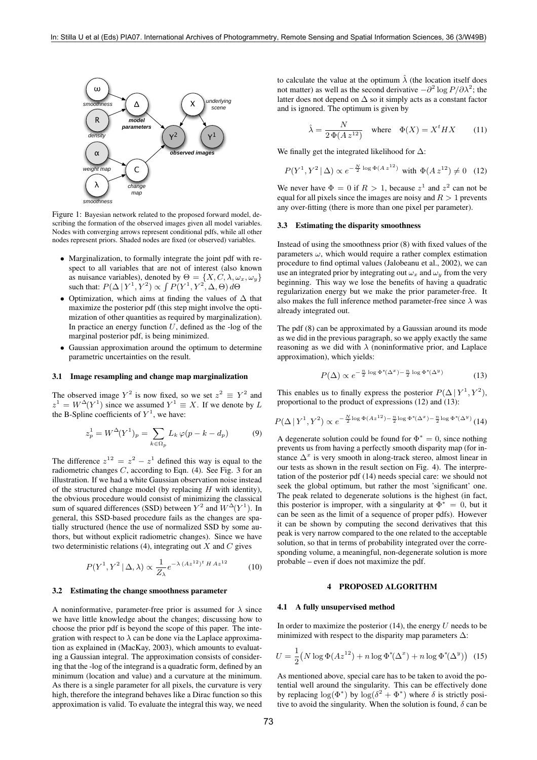

Figure 1: Bayesian network related to the proposed forward model, describing the formation of the observed images given all model variables. Nodes with converging arrows represent conditional pdfs, while all other nodes represent priors. Shaded nodes are fixed (or observed) variables.

- Marginalization, to formally integrate the joint pdf with respect to all variables that are not of interest (also known as nuisance variables), denoted by  $\Theta = \{X, C, \lambda, \omega_x, \omega_y\}$ such that:  $P(\Delta | Y^1, Y^2) \propto \int P(Y^1, Y^2, \Delta, \Theta) d\Theta$
- Optimization, which aims at finding the values of ∆ that maximize the posterior pdf (this step might involve the optimization of other quantities as required by marginalization). In practice an energy function  $U$ , defined as the -log of the marginal posterior pdf, is being minimized.
- Gaussian approximation around the optimum to determine parametric uncertainties on the result.

### 3.1 Image resampling and change map marginalization

The observed image  $Y^2$  is now fixed, so we set  $z^2 \equiv Y^2$  and  $z^1 = W^{\Delta}(Y^1)$  since we assumed  $Y^1 \equiv X$ . If we denote by L the B-Spline coefficients of  $Y^1$ , we have:

$$
z_p^1 = W^{\Delta}(Y^1)_p = \sum_{k \in \Omega_p} L_k \varphi(p - k - d_p)
$$
 (9)

The difference  $z^{12} = z^2 - z^1$  defined this way is equal to the radiometric changes  $C$ , according to Eqn. (4). See Fig. 3 for an illustration. If we had a white Gaussian observation noise instead of the structured change model (by replacing  $H$  with identity), the obvious procedure would consist of minimizing the classical sum of squared differences (SSD) between  $Y^2$  and  $W^{\Delta}(Y^1)$ . In general, this SSD-based procedure fails as the changes are spatially structured (hence the use of normalized SSD by some authors, but without explicit radiometric changes). Since we have two deterministic relations (4), integrating out  $X$  and  $C$  gives

$$
P(Y^1, Y^2 \mid \Delta, \lambda) \propto \frac{1}{Z_{\lambda}} e^{-\lambda \left(A z^{12}\right)^t H A z^{12}} \tag{10}
$$

#### 3.2 Estimating the change smoothness parameter

A noninformative, parameter-free prior is assumed for  $\lambda$  since we have little knowledge about the changes; discussing how to choose the prior pdf is beyond the scope of this paper. The integration with respect to  $\lambda$  can be done via the Laplace approximation as explained in (MacKay, 2003), which amounts to evaluating a Gaussian integral. The approximation consists of considering that the -log of the integrand is a quadratic form, defined by an minimum (location and value) and a curvature at the minimum. As there is a single parameter for all pixels, the curvature is very high, therefore the integrand behaves like a Dirac function so this approximation is valid. To evaluate the integral this way, we need

to calculate the value at the optimum  $\lambda$  (the location itself does not matter) as well as the second derivative  $-\partial^2 \log P / \partial \lambda^2$ ; the latter does not depend on ∆ so it simply acts as a constant factor and is ignored. The optimum is given by

$$
\hat{\lambda} = \frac{N}{2\,\Phi(A\,z^{12})} \quad \text{where} \quad \Phi(X) = X^t H X \tag{11}
$$

We finally get the integrated likelihood for ∆:

$$
P(Y^1, Y^2 | \Delta) \propto e^{-\frac{N}{2} \log \Phi(A z^{12})}
$$
 with  $\Phi(A z^{12}) \neq 0$  (12)

We never have  $\Phi = 0$  if  $R > 1$ , because  $z^1$  and  $z^2$  can not be equal for all pixels since the images are noisy and  $R > 1$  prevents any over-fitting (there is more than one pixel per parameter).

### 3.3 Estimating the disparity smoothness

Instead of using the smoothness prior (8) with fixed values of the parameters  $\omega$ , which would require a rather complex estimation procedure to find optimal values (Jalobeanu et al., 2002), we can use an integrated prior by integrating out  $\omega_x$  and  $\omega_y$  from the very beginning. This way we lose the benefits of having a quadratic regularization energy but we make the prior parameter-free. It also makes the full inference method parameter-free since  $\lambda$  was already integrated out.

The pdf (8) can be approximated by a Gaussian around its mode as we did in the previous paragraph, so we apply exactly the same reasoning as we did with  $\lambda$  (noninformative prior, and Laplace approximation), which yields:

$$
P(\Delta) \propto e^{-\frac{n}{2}\log \Phi^*(\Delta^x) - \frac{n}{2}\log \Phi^*(\Delta^y)}
$$
(13)

This enables us to finally express the posterior  $P(\Delta | Y^1, Y^2)$ , proportional to the product of expressions (12) and (13):

$$
P(\Delta | Y^1, Y^2) \propto e^{-\frac{N}{2} \log \Phi(Az^{12}) - \frac{n}{2} \log \Phi^*(\Delta^x) - \frac{n}{2} \log \Phi^*(\Delta^y)} (14)
$$

A degenerate solution could be found for  $\Phi^* = 0$ , since nothing prevents us from having a perfectly smooth disparity map (for instance  $\Delta^x$  is very smooth in along-track stereo, almost linear in our tests as shown in the result section on Fig. 4). The interpretation of the posterior pdf (14) needs special care: we should not seek the global optimum, but rather the most 'significant' one. The peak related to degenerate solutions is the highest (in fact, this posterior is improper, with a singularity at  $\Phi^* = 0$ , but it can be seen as the limit of a sequence of proper pdfs). However it can be shown by computing the second derivatives that this peak is very narrow compared to the one related to the acceptable solution, so that in terms of probability integrated over the corresponding volume, a meaningful, non-degenerate solution is more probable – even if does not maximize the pdf.

## 4 PROPOSED ALGORITHM

#### 4.1 A fully unsupervised method

In order to maximize the posterior  $(14)$ , the energy U needs to be minimized with respect to the disparity map parameters  $\Delta$ :

$$
U = \frac{1}{2} \left( N \log \Phi(Az^{12}) + n \log \Phi^*(\Delta^x) + n \log \Phi^*(\Delta^y) \right)
$$
 (15)

As mentioned above, special care has to be taken to avoid the potential well around the singularity. This can be effectively done by replacing  $\log(\Phi^*)$  by  $\log(\delta^2 + \Phi^*)$  where  $\delta$  is strictly positive to avoid the singularity. When the solution is found,  $\delta$  can be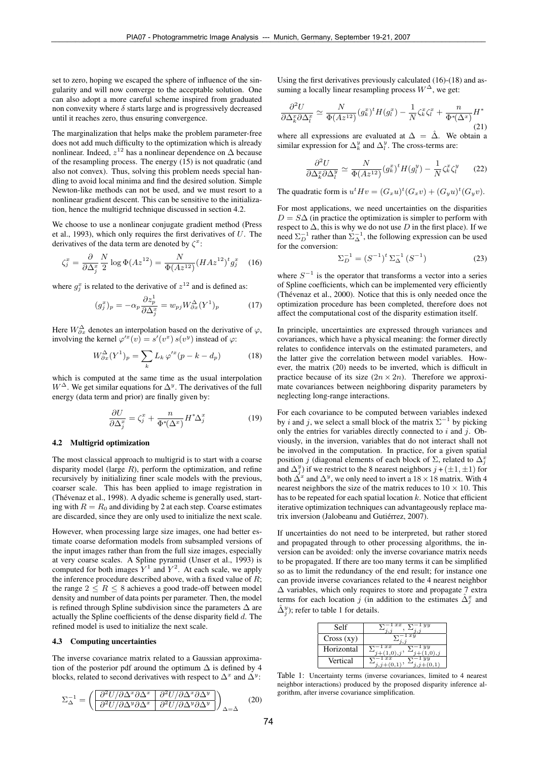set to zero, hoping we escaped the sphere of influence of the singularity and will now converge to the acceptable solution. One can also adopt a more careful scheme inspired from graduated non convexity where  $\delta$  starts large and is progressively decreased until it reaches zero, thus ensuring convergence.

The marginalization that helps make the problem parameter-free does not add much difficulty to the optimization which is already nonlinear. Indeed,  $z^{12}$  has a nonlinear dependence on  $\Delta$  because of the resampling process. The energy  $(15)$  is not quadratic (and also not convex). Thus, solving this problem needs special handling to avoid local minima and find the desired solution. Simple Newton-like methods can not be used, and we must resort to a nonlinear gradient descent. This can be sensitive to the initialization, hence the multigrid technique discussed in section 4.2.

We choose to use a nonlinear conjugate gradient method (Press et al., 1993), which only requires the first derivatives of  $U$ . The derivatives of the data term are denoted by  $\zeta^x$ :

$$
\zeta_j^x = \frac{\partial}{\partial \Delta_j^x} \frac{N}{2} \log \Phi(A z^{12}) = \frac{N}{\Phi(A z^{12})} (H A z^{12})^t g_j^x \quad (16)
$$

where  $g_j^x$  is related to the derivative of  $z^{12}$  and is defined as:

$$
(g_j^x)_p = -\alpha_p \frac{\partial z_p^1}{\partial \Delta_j^x} = w_{pj} W_{\partial x}^{\Delta} (Y^1)_p \tag{17}
$$

Here  $W_{\partial x}^{\Delta}$  denotes an interpolation based on the derivative of  $\varphi$ , involving the kernel  $\varphi'^x(v) = s'(v^x) s(v^y)$  instead of  $\varphi$ :

$$
W_{\partial x}^{\Delta}(Y^{1})_{p} = \sum_{k} L_{k} \varphi^{\prime x}(p - k - d_{p})
$$
 (18)

which is computed at the same time as the usual interpolation  $W^{\Delta}$ . We get similar equations for  $\Delta^{y}$ . The derivatives of the full energy (data term and prior) are finally given by:

$$
\frac{\partial U}{\partial \Delta_j^x} = \zeta_j^x + \frac{n}{\Phi^*(\Delta^x)} H^* \Delta_j^x \tag{19}
$$

### 4.2 Multigrid optimization

The most classical approach to multigrid is to start with a coarse disparity model (large  $R$ ), perform the optimization, and refine recursively by initializing finer scale models with the previous, coarser scale. This has been applied to image registration in (Thévenaz et al., 1998). A dyadic scheme is generally used, starting with  $R = R_0$  and dividing by 2 at each step. Coarse estimates are discarded, since they are only used to initialize the next scale.

However, when processing large size images, one had better estimate coarse deformation models from subsampled versions of the input images rather than from the full size images, especially at very coarse scales. A Spline pyramid (Unser et al., 1993) is computed for both images  $Y^1$  and  $Y^2$ . At each scale, we apply the inference procedure described above, with a fixed value of  $R$ ; the range  $2 \leq R \leq 8$  achieves a good trade-off between model density and number of data points per parameter. Then, the model is refined through Spline subdivision since the parameters ∆ are actually the Spline coefficients of the dense disparity field  $d$ . The refined model is used to initialize the next scale.

### 4.3 Computing uncertainties

The inverse covariance matrix related to a Gaussian approximation of the posterior pdf around the optimum  $\Delta$  is defined by 4 blocks, related to second derivatives with respect to  $\Delta^x$  and  $\Delta^y$ :

$$
\Sigma_{\Delta}^{-1} = \left( \frac{\partial^2 U/\partial \Delta^x \partial \Delta^x}{\partial^2 U/\partial \Delta^y \partial \Delta^x} \frac{\partial^2 U/\partial \Delta^x \partial \Delta^y}{\partial^2 U/\partial \Delta^y \partial \Delta^y} \right)_{\Delta = \hat{\Delta}} \tag{20}
$$

Using the first derivatives previously calculated (16)-(18) and assuming a locally linear resampling process  $W^{\Delta}$ , we get:

$$
\frac{\partial^2 U}{\partial \Delta_k^x \partial \Delta_l^x} \simeq \frac{N}{\Phi(Az^{12})} (g_k^x)^t H(g_l^x) - \frac{1}{N} \zeta_k^x \zeta_l^x + \frac{n}{\Phi^*(\Delta^x)} H^* \tag{21}
$$

where all expressions are evaluated at  $\Delta = \hat{\Delta}$ . We obtain a similar expression for  $\Delta_k^y$  and  $\Delta_l^y$ . The cross-terms are:

$$
\frac{\partial^2 U}{\partial \Delta_k^x \partial \Delta_l^y} \simeq \frac{N}{\Phi(Az^{12})} (g_k^x)^t H(g_l^y) - \frac{1}{N} \zeta_k^x \zeta_l^y \qquad (22)
$$

The quadratic form is  $u^t H v = (G_x u)^t (G_x v) + (G_y u)^t (G_y v)$ .

For most applications, we need uncertainties on the disparities  $D = S\Delta$  (in practice the optimization is simpler to perform with respect to  $\Delta$ , this is why we do not use D in the first place). If we need  $\Sigma_D^{-1}$  rather than  $\Sigma_{\Delta}^{-1}$ , the following expression can be used for the conversion:

$$
\Sigma_D^{-1} = (S^{-1})^t \Sigma_{\Delta}^{-1} (S^{-1})
$$
\n(23)

where  $S^{-1}$  is the operator that transforms a vector into a series of Spline coefficients, which can be implemented very efficiently (Thévenaz et al., 2000). Notice that this is only needed once the optimization procedure has been completed, therefore does not affect the computational cost of the disparity estimation itself.

In principle, uncertainties are expressed through variances and covariances, which have a physical meaning: the former directly relates to confidence intervals on the estimated parameters, and the latter give the correlation between model variables. However, the matrix (20) needs to be inverted, which is difficult in practice because of its size  $(2n \times 2n)$ . Therefore we approximate covariances between neighboring disparity parameters by neglecting long-range interactions.

For each covariance to be computed between variables indexed by *i* and *j*, we select a small block of the matrix  $\Sigma^{-1}$  by picking only the entries for variables directly connected to  $i$  and  $j$ . Obviously, in the inversion, variables that do not interact shall not be involved in the computation. In practice, for a given spatial position j (diagonal elements of each block of  $\Sigma$ , related to  $\Delta_j^x$ and  $\Delta_j^y$ ) if we restrict to the 8 nearest neighbors  $j + (\pm 1, \pm 1)$  for both  $\Delta^x$  and  $\Delta^y$ , we only need to invert a 18 × 18 matrix. With 4 nearest neighbors the size of the matrix reduces to  $10 \times 10$ . This has to be repeated for each spatial location  $k$ . Notice that efficient iterative optimization techniques can advantageously replace matrix inversion (Jalobeanu and Gutiérrez, 2007).

If uncertainties do not need to be interpreted, but rather stored and propagated through to other processing algorithms, the inversion can be avoided: only the inverse covariance matrix needs to be propagated. If there are too many terms it can be simplified so as to limit the redundancy of the end result; for instance one can provide inverse covariances related to the 4 nearest neighbor  $\Delta$  variables, which only requires to store and propagate 7 extra terms for each location j (in addition to the estimates  $\hat{\Delta}_j^x$  and  $\hat{\Delta}_j^y$ ); refer to table 1 for details.

| Self       | uч<br>$_{xx}$        |
|------------|----------------------|
| Cross (xy) | $x_1$                |
| Horizontal | xx<br>$\overline{u}$ |
| Vertical   | T T                  |

Table 1: Uncertainty terms (inverse covariances, limited to 4 nearest neighbor interactions) produced by the proposed disparity inference algorithm, after inverse covariance simplification.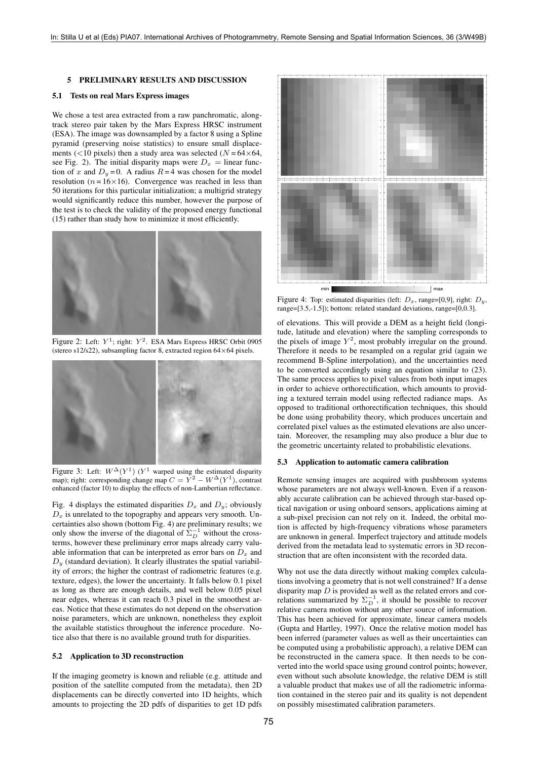### 5 PRELIMINARY RESULTS AND DISCUSSION

## 5.1 Tests on real Mars Express images

We chose a test area extracted from a raw panchromatic, alongtrack stereo pair taken by the Mars Express HRSC instrument (ESA). The image was downsampled by a factor 8 using a Spline pyramid (preserving noise statistics) to ensure small displacements (<10 pixels) then a study area was selected ( $N = 64 \times 64$ , see Fig. 2). The initial disparity maps were  $D_x = \text{linear func}$ tion of x and  $D_y = 0$ . A radius  $R = 4$  was chosen for the model resolution ( $n = 16 \times 16$ ). Convergence was reached in less than 50 iterations for this particular initialization; a multigrid strategy would significantly reduce this number, however the purpose of the test is to check the validity of the proposed energy functional (15) rather than study how to minimize it most efficiently.



Figure 2: Left:  $Y^1$ ; right:  $Y^2$ . ESA Mars Express HRSC Orbit 0905 (stereo s12/s22), subsampling factor 8, extracted region 64×64 pixels.



Figure 3: Left:  $W^{\Delta}(Y^1)$  ( $Y^1$  warped using the estimated disparity map); right: corresponding change map  $C = Y^2 - W^{\Delta}(Y^1)$ , contrast enhanced (factor 10) to display the effects of non-Lambertian reflectance.

Fig. 4 displays the estimated disparities  $D_x$  and  $D_y$ ; obviously  $D_x$  is unrelated to the topography and appears very smooth. Uncertainties also shown (bottom Fig. 4) are preliminary results; we only show the inverse of the diagonal of  $\bar{\Sigma}_{D}^{-1}$  without the crossterms, however these preliminary error maps already carry valuable information that can be interpreted as error bars on  $D_x$  and  $D<sub>y</sub>$  (standard deviation). It clearly illustrates the spatial variability of errors; the higher the contrast of radiometric features (e.g. texture, edges), the lower the uncertainty. It falls below 0.1 pixel as long as there are enough details, and well below 0.05 pixel near edges, whereas it can reach 0.3 pixel in the smoothest areas. Notice that these estimates do not depend on the observation noise parameters, which are unknown, nonetheless they exploit the available statistics throughout the inference procedure. Notice also that there is no available ground truth for disparities.

# 5.2 Application to 3D reconstruction

If the imaging geometry is known and reliable (e.g. attitude and position of the satellite computed from the metadata), then 2D displacements can be directly converted into 1D heights, which amounts to projecting the 2D pdfs of disparities to get 1D pdfs



Figure 4: Top: estimated disparities (left:  $D_x$ , range=[0,9], right:  $D_y$ , range=[3.5,-1.5]); bottom: related standard deviations, range=[0,0.3].

of elevations. This will provide a DEM as a height field (longitude, latitude and elevation) where the sampling corresponds to the pixels of image  $Y^2$ , most probably irregular on the ground. Therefore it needs to be resampled on a regular grid (again we recommend B-Spline interpolation), and the uncertainties need to be converted accordingly using an equation similar to (23). The same process applies to pixel values from both input images in order to achieve orthorectification, which amounts to providing a textured terrain model using reflected radiance maps. As opposed to traditional orthorectification techniques, this should be done using probability theory, which produces uncertain and correlated pixel values as the estimated elevations are also uncertain. Moreover, the resampling may also produce a blur due to the geometric uncertainty related to probabilistic elevations.

## 5.3 Application to automatic camera calibration

Remote sensing images are acquired with pushbroom systems whose parameters are not always well-known. Even if a reasonably accurate calibration can be achieved through star-based optical navigation or using onboard sensors, applications aiming at a sub-pixel precision can not rely on it. Indeed, the orbital motion is affected by high-frequency vibrations whose parameters are unknown in general. Imperfect trajectory and attitude models derived from the metadata lead to systematic errors in 3D reconstruction that are often inconsistent with the recorded data.

Why not use the data directly without making complex calculations involving a geometry that is not well constrained? If a dense disparity map  $D$  is provided as well as the related errors and correlations summarized by  $\Sigma_D^{-1}$ , it should be possible to recover relative camera motion without any other source of information. This has been achieved for approximate, linear camera models (Gupta and Hartley, 1997). Once the relative motion model has been inferred (parameter values as well as their uncertainties can be computed using a probabilistic approach), a relative DEM can be reconstructed in the camera space. It then needs to be converted into the world space using ground control points; however, even without such absolute knowledge, the relative DEM is still a valuable product that makes use of all the radiometric information contained in the stereo pair and its quality is not dependent on possibly misestimated calibration parameters.